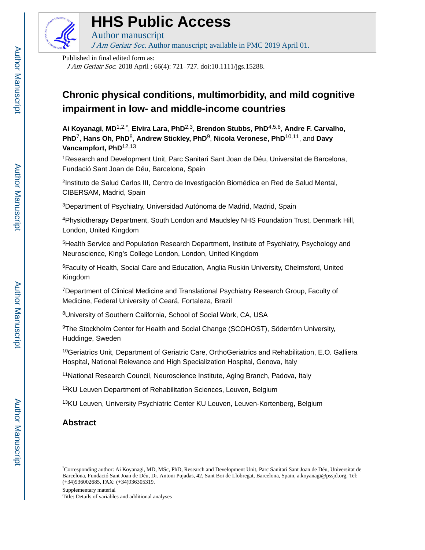

# **HHS Public Access**

Author manuscript J Am Geriatr Soc. Author manuscript; available in PMC 2019 April 01.

Published in final edited form as:

J Am Geriatr Soc. 2018 April ; 66(4): 721–727. doi:10.1111/jgs.15288.

## **Chronic physical conditions, multimorbidity, and mild cognitive impairment in low- and middle-income countries**

**Ai Koyanagi, MD**1,2,\* , **Elvira Lara, PhD**2,3, **Brendon Stubbs, PhD**4,5,6, **Andre F. Carvalho, PhD**7, **Hans Oh, PhD**8, **Andrew Stickley, PhD**9, **Nicola Veronese, PhD**10,11, and **Davy Vancampfort, PhD**12,13

<sup>1</sup>Research and Development Unit, Parc Sanitari Sant Joan de Déu, Universitat de Barcelona, Fundació Sant Joan de Déu, Barcelona, Spain

2 Instituto de Salud Carlos III, Centro de Investigación Biomédica en Red de Salud Mental, CIBERSAM, Madrid, Spain

<sup>3</sup>Department of Psychiatry, Universidad Autónoma de Madrid, Madrid, Spain

<sup>4</sup>Physiotherapy Department, South London and Maudsley NHS Foundation Trust, Denmark Hill, London, United Kingdom

<sup>5</sup>Health Service and Population Research Department, Institute of Psychiatry, Psychology and Neuroscience, King's College London, London, United Kingdom

<sup>6</sup>Faculty of Health, Social Care and Education, Anglia Ruskin University, Chelmsford, United Kingdom

<sup>7</sup>Department of Clinical Medicine and Translational Psychiatry Research Group, Faculty of Medicine, Federal University of Ceará, Fortaleza, Brazil

<sup>8</sup>University of Southern California, School of Social Work, CA, USA

<sup>9</sup>The Stockholm Center for Health and Social Change (SCOHOST), Södertörn University, Huddinge, Sweden

<sup>10</sup>Geriatrics Unit, Department of Geriatric Care, OrthoGeriatrics and Rehabilitation, E.O. Galliera Hospital, National Relevance and High Specialization Hospital, Genova, Italy

<sup>11</sup>National Research Council, Neuroscience Institute, Aging Branch, Padova, Italy

<sup>12</sup>KU Leuven Department of Rehabilitation Sciences, Leuven, Belgium

<sup>13</sup>KU Leuven, University Psychiatric Center KU Leuven, Leuven-Kortenberg, Belgium

## **Abstract**

Supplementary material

Title: Details of variables and additional analyses

<sup>\*</sup>Corresponding author: Ai Koyanagi, MD, MSc, PhD, Research and Development Unit, Parc Sanitari Sant Joan de Déu, Universitat de Barcelona, Fundació Sant Joan de Déu, Dr. Antoni Pujadas, 42, Sant Boi de Llobregat, Barcelona, Spain, a.koyanagi@pssjd.org, Tel: (+34)936002685, FAX: (+34)936305319.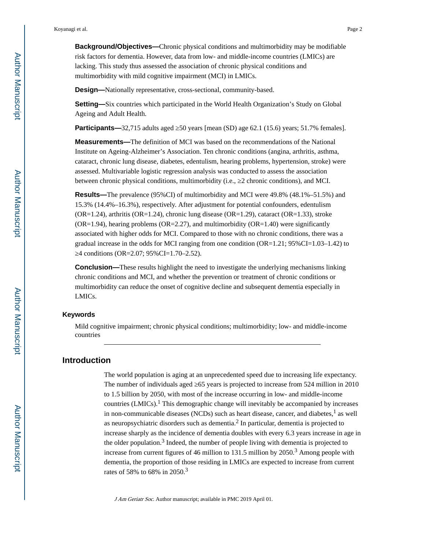**Background/Objectives—**Chronic physical conditions and multimorbidity may be modifiable risk factors for dementia. However, data from low- and middle-income countries (LMICs) are lacking. This study thus assessed the association of chronic physical conditions and multimorbidity with mild cognitive impairment (MCI) in LMICs.

**Design—**Nationally representative, cross-sectional, community-based.

**Setting—**Six countries which participated in the World Health Organization's Study on Global Ageing and Adult Health.

**Participants—**32,715 adults aged 50 years [mean (SD) age 62.1 (15.6) years; 51.7% females].

**Measurements—**The definition of MCI was based on the recommendations of the National Institute on Ageing-Alzheimer's Association. Ten chronic conditions (angina, arthritis, asthma, cataract, chronic lung disease, diabetes, edentulism, hearing problems, hypertension, stroke) were assessed. Multivariable logistic regression analysis was conducted to assess the association between chronic physical conditions, multimorbidity (i.e., ≥2 chronic conditions), and MCI.

**Results—**The prevalence (95%CI) of multimorbidity and MCI were 49.8% (48.1%–51.5%) and 15.3% (14.4%–16.3%), respectively. After adjustment for potential confounders, edentulism (OR=1.24), arthritis (OR=1.24), chronic lung disease (OR=1.29), cataract (OR=1.33), stroke  $(OR=1.94)$ , hearing problems  $(OR=2.27)$ , and multimorbidity  $(OR=1.40)$  were significantly associated with higher odds for MCI. Compared to those with no chronic conditions, there was a gradual increase in the odds for MCI ranging from one condition  $(OR=1.21; 95\% CI=1.03-1.42)$  to ≥4 conditions (OR=2.07; 95%CI=1.70–2.52).

**Conclusion—**These results highlight the need to investigate the underlying mechanisms linking chronic conditions and MCI, and whether the prevention or treatment of chronic conditions or multimorbidity can reduce the onset of cognitive decline and subsequent dementia especially in LMICs.

#### **Keywords**

Mild cognitive impairment; chronic physical conditions; multimorbidity; low- and middle-income countries

## **Introduction**

The world population is aging at an unprecedented speed due to increasing life expectancy. The number of individuals aged 65 years is projected to increase from 524 million in 2010 to 1.5 billion by 2050, with most of the increase occurring in low- and middle-income countries (LMICs).<sup>1</sup> This demographic change will inevitably be accompanied by increases in non-communicable diseases (NCDs) such as heart disease, cancer, and diabetes,<sup>1</sup> as well as neuropsychiatric disorders such as dementia. $<sup>2</sup>$  In particular, dementia is projected to</sup> increase sharply as the incidence of dementia doubles with every 6.3 years increase in age in the older population.<sup>3</sup> Indeed, the number of people living with dementia is projected to increase from current figures of 46 million to 131.5 million by  $2050<sup>3</sup>$  Among people with dementia, the proportion of those residing in LMICs are expected to increase from current rates of 58% to 68% in 2050.<sup>3</sup>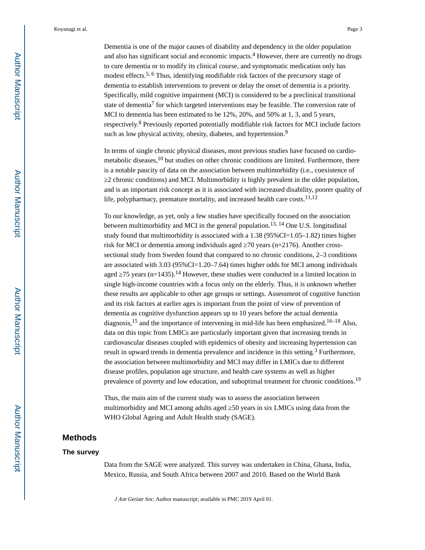Koyanagi et al. Page 3

dementia to establish interventions to prevent or delay the onset of dementia is a priority. Specifically, mild cognitive impairment (MCI) is considered to be a preclinical transitional state of dementia<sup>7</sup> for which targeted interventions may be feasible. The conversion rate of MCI to dementia has been estimated to be 12%, 20%, and 50% at 1, 3, and 5 years, respectively.<sup>8</sup> Previously reported potentially modifiable risk factors for MCI include factors such as low physical activity, obesity, diabetes, and hypertension.<sup>9</sup>

In terms of single chronic physical diseases, most previous studies have focused on cardiometabolic diseases, $^{10}$  but studies on other chronic conditions are limited. Furthermore, there is a notable paucity of data on the association between multimorbidity (i.e., coexistence of ≥2 chronic conditions) and MCI. Multimorbidity is highly prevalent in the older population, and is an important risk concept as it is associated with increased disability, poorer quality of life, polypharmacy, premature mortality, and increased health care costs.<sup>11,12</sup>

To our knowledge, as yet, only a few studies have specifically focused on the association between multimorbidity and MCI in the general population.<sup>13, 14</sup> One U.S. longitudinal study found that multimorbidity is associated with a  $1.38$  ( $95\%$ CI=1.05–1.82) times higher risk for MCI or dementia among individuals aged  $\,$  70 years (n=2176). Another crosssectional study from Sweden found that compared to no chronic conditions, 2–3 conditions are associated with 3.03 (95%CI=1.20–7.64) times higher odds for MCI among individuals aged  $\,$  75 years (n=1435).<sup>14</sup> However, these studies were conducted in a limited location in single high-income countries with a focus only on the elderly. Thus, it is unknown whether these results are applicable to other age groups or settings. Assessment of cognitive function and its risk factors at earlier ages is important from the point of view of prevention of dementia as cognitive dysfunction appears up to 10 years before the actual dementia diagnosis,  $^{15}$  and the importance of intervening in mid-life has been emphasized.  $^{16-18}$  Also, data on this topic from LMICs are particularly important given that increasing trends in cardiovascular diseases coupled with epidemics of obesity and increasing hypertension can result in upward trends in dementia prevalence and incidence in this setting.<sup>3</sup> Furthermore, the association between multimorbidity and MCI may differ in LMICs due to different disease profiles, population age structure, and health care systems as well as higher prevalence of poverty and low education, and suboptimal treatment for chronic conditions.<sup>19</sup>

Thus, the main aim of the current study was to assess the association between multimorbidity and MCI among adults aged 50 years in six LMICs using data from the WHO Global Ageing and Adult Health study (SAGE).

## **Methods**

#### **The survey**

Data from the SAGE were analyzed. This survey was undertaken in China, Ghana, India, Mexico, Russia, and South Africa between 2007 and 2010. Based on the World Bank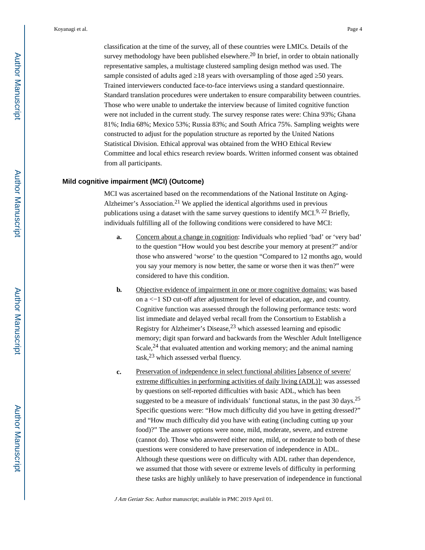classification at the time of the survey, all of these countries were LMICs. Details of the survey methodology have been published elsewhere.<sup>20</sup> In brief, in order to obtain nationally representative samples, a multistage clustered sampling design method was used. The sample consisted of adults aged 18 years with oversampling of those aged 50 years. Trained interviewers conducted face-to-face interviews using a standard questionnaire. Standard translation procedures were undertaken to ensure comparability between countries. Those who were unable to undertake the interview because of limited cognitive function were not included in the current study. The survey response rates were: China 93%; Ghana 81%; India 68%; Mexico 53%; Russia 83%; and South Africa 75%. Sampling weights were constructed to adjust for the population structure as reported by the United Nations Statistical Division. Ethical approval was obtained from the WHO Ethical Review Committee and local ethics research review boards. Written informed consent was obtained from all participants.

#### **Mild cognitive impairment (MCI) (Outcome)**

MCI was ascertained based on the recommendations of the National Institute on Aging-Alzheimer's Association.21 We applied the identical algorithms used in previous publications using a dataset with the same survey questions to identify MCI.<sup>9, 22</sup> Briefly, individuals fulfilling all of the following conditions were considered to have MCI:

- **a.** Concern about a change in cognition: Individuals who replied 'bad' or 'very bad' to the question "How would you best describe your memory at present?" and/or those who answered 'worse' to the question "Compared to 12 months ago, would you say your memory is now better, the same or worse then it was then?" were considered to have this condition.
- **b.** Objective evidence of impairment in one or more cognitive domains: was based on a <−1 SD cut-off after adjustment for level of education, age, and country. Cognitive function was assessed through the following performance tests: word list immediate and delayed verbal recall from the Consortium to Establish a Registry for Alzheimer's Disease,23 which assessed learning and episodic memory; digit span forward and backwards from the Weschler Adult Intelligence Scale,  $24$  that evaluated attention and working memory; and the animal naming task,23 which assessed verbal fluency.
- **c.** Preservation of independence in select functional abilities [absence of severe/ extreme difficulties in performing activities of daily living (ADL)]: was assessed by questions on self-reported difficulties with basic ADL, which has been suggested to be a measure of individuals' functional status, in the past  $30 \text{ days}$ .<sup>25</sup> Specific questions were: "How much difficulty did you have in getting dressed?" and "How much difficulty did you have with eating (including cutting up your food)?" The answer options were none, mild, moderate, severe, and extreme (cannot do). Those who answered either none, mild, or moderate to both of these questions were considered to have preservation of independence in ADL. Although these questions were on difficulty with ADL rather than dependence, we assumed that those with severe or extreme levels of difficulty in performing these tasks are highly unlikely to have preservation of independence in functional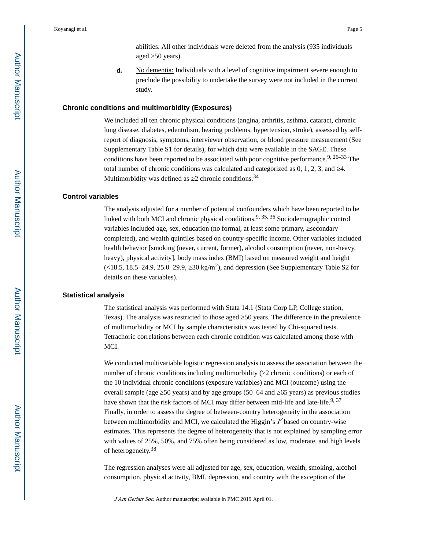abilities. All other individuals were deleted from the analysis (935 individuals aged 50 years).

**d.** No dementia: Individuals with a level of cognitive impairment severe enough to preclude the possibility to undertake the survey were not included in the current study.

#### **Chronic conditions and multimorbidity (Exposures)**

We included all ten chronic physical conditions (angina, arthritis, asthma, cataract, chronic lung disease, diabetes, edentulism, hearing problems, hypertension, stroke), assessed by selfreport of diagnosis, symptoms, interviewer observation, or blood pressure measurement (See Supplementary Table S1 for details), for which data were available in the SAGE. These conditions have been reported to be associated with poor cognitive performance.<sup>9, 26–33</sup> The total number of chronic conditions was calculated and categorized as  $0, 1, 2, 3$ , and  $\overline{4}$ . Multimorbidity was defined as  $2$  chronic conditions.<sup>34</sup>

#### **Control variables**

The analysis adjusted for a number of potential confounders which have been reported to be linked with both MCI and chronic physical conditions.9, 35, 36 Sociodemographic control variables included age, sex, education (no formal, at least some primary, secondary completed), and wealth quintiles based on country-specific income. Other variables included health behavior [smoking (never, current, former), alcohol consumption (never, non-heavy, heavy), physical activity], body mass index (BMI) based on measured weight and height  $\left( \langle 18.5, 18.5 - 24.9, 25.0 - 29.9, 30 \text{ kg/m}^2 \rangle \right)$ , and depression (See Supplementary Table S2 for details on these variables).

#### **Statistical analysis**

The statistical analysis was performed with Stata 14.1 (Stata Corp LP, College station, Texas). The analysis was restricted to those aged 50 years. The difference in the prevalence of multimorbidity or MCI by sample characteristics was tested by Chi-squared tests. Tetrachoric correlations between each chronic condition was calculated among those with MCI.

We conducted multivariable logistic regression analysis to assess the association between the number of chronic conditions including multimorbidity (2 chronic conditions) or each of the 10 individual chronic conditions (exposure variables) and MCI (outcome) using the overall sample (age  $\frac{50 \text{ years}}{20 \text{ years}}$ ) and by age groups (50–64 and  $\frac{65 \text{ years}}{20 \text{ years}}$ ) as previous studies have shown that the risk factors of MCI may differ between mid-life and late-life.<sup>9, 37</sup> Finally, in order to assess the degree of between-country heterogeneity in the association between multimorbidity and MCI, we calculated the Higgin's  $\vec{P}$  based on country-wise estimates. This represents the degree of heterogeneity that is not explained by sampling error with values of 25%, 50%, and 75% often being considered as low, moderate, and high levels of heterogeneity.<sup>38</sup>

The regression analyses were all adjusted for age, sex, education, wealth, smoking, alcohol consumption, physical activity, BMI, depression, and country with the exception of the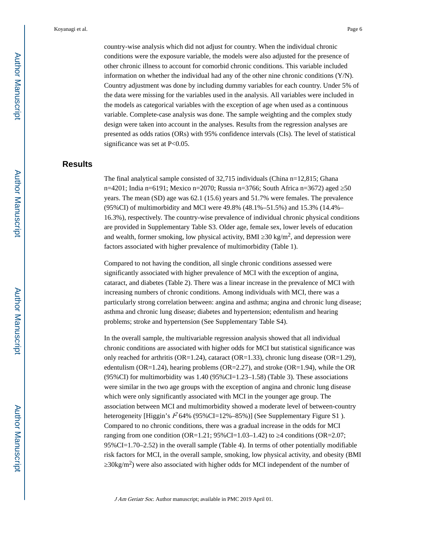country-wise analysis which did not adjust for country. When the individual chronic conditions were the exposure variable, the models were also adjusted for the presence of other chronic illness to account for comorbid chronic conditions. This variable included information on whether the individual had any of the other nine chronic conditions (Y/N). Country adjustment was done by including dummy variables for each country. Under 5% of the data were missing for the variables used in the analysis. All variables were included in the models as categorical variables with the exception of age when used as a continuous variable. Complete-case analysis was done. The sample weighting and the complex study design were taken into account in the analyses. Results from the regression analyses are presented as odds ratios (ORs) with 95% confidence intervals (CIs). The level of statistical significance was set at P<0.05.

## **Results**

The final analytical sample consisted of 32,715 individuals (China n=12,815; Ghana n=4201; India n=6191; Mexico n=2070; Russia n=3766; South Africa n=3672) aged ≥50 years. The mean (SD) age was 62.1 (15.6) years and 51.7% were females. The prevalence (95%CI) of multimorbidity and MCI were 49.8% (48.1%–51.5%) and 15.3% (14.4%– 16.3%), respectively. The country-wise prevalence of individual chronic physical conditions are provided in Supplementary Table S3. Older age, female sex, lower levels of education and wealth, former smoking, low physical activity, BMI  $30 \text{ kg/m}^2$ , and depression were factors associated with higher prevalence of multimorbidity (Table 1).

Compared to not having the condition, all single chronic conditions assessed were significantly associated with higher prevalence of MCI with the exception of angina, cataract, and diabetes (Table 2). There was a linear increase in the prevalence of MCI with increasing numbers of chronic conditions. Among individuals with MCI, there was a particularly strong correlation between: angina and asthma; angina and chronic lung disease; asthma and chronic lung disease; diabetes and hypertension; edentulism and hearing problems; stroke and hypertension (See Supplementary Table S4).

In the overall sample, the multivariable regression analysis showed that all individual chronic conditions are associated with higher odds for MCI but statistical significance was only reached for arthritis (OR=1.24), cataract (OR=1.33), chronic lung disease (OR=1.29), edentulism ( $OR=1.24$ ), hearing problems ( $OR=2.27$ ), and stroke ( $OR=1.94$ ), while the OR (95%CI) for multimorbidity was  $1.40$  (95%CI=1.23–1.58) (Table 3). These associations were similar in the two age groups with the exception of angina and chronic lung disease which were only significantly associated with MCI in the younger age group. The association between MCI and multimorbidity showed a moderate level of between-country heterogeneity [Higgin's  $I^2$  64% (95%CI=12%–85%)] (See Supplementary Figure S1). Compared to no chronic conditions, there was a gradual increase in the odds for MCI ranging from one condition (OR=1.21;  $95\%$ CI=1.03–1.42) to 4 conditions (OR=2.07; 95%CI=1.70–2.52) in the overall sample (Table 4). In terms of other potentially modifiable risk factors for MCI, in the overall sample, smoking, low physical activity, and obesity (BMI 30kg/m<sup>2</sup>) were also associated with higher odds for MCI independent of the number of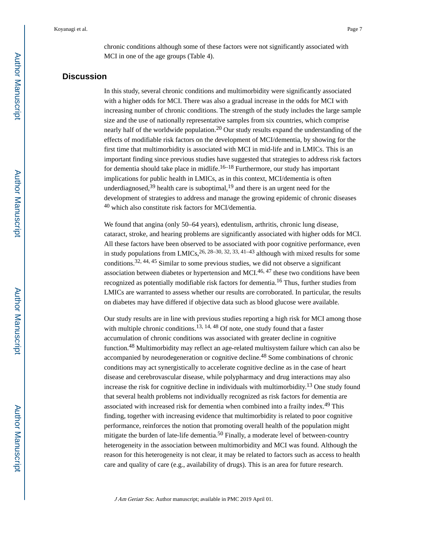chronic conditions although some of these factors were not significantly associated with MCI in one of the age groups (Table 4).

## **Discussion**

In this study, several chronic conditions and multimorbidity were significantly associated with a higher odds for MCI. There was also a gradual increase in the odds for MCI with increasing number of chronic conditions. The strength of the study includes the large sample size and the use of nationally representative samples from six countries, which comprise nearly half of the worldwide population.<sup>20</sup> Our study results expand the understanding of the effects of modifiable risk factors on the development of MCI/dementia, by showing for the first time that multimorbidity is associated with MCI in mid-life and in LMICs. This is an important finding since previous studies have suggested that strategies to address risk factors for dementia should take place in midlife.16–18 Furthermore, our study has important implications for public health in LMICs, as in this context, MCI/dementia is often underdiagnosed,  $39$  health care is suboptimal,  $19$  and there is an urgent need for the development of strategies to address and manage the growing epidemic of chronic diseases <sup>40</sup> which also constitute risk factors for MCI/dementia.

We found that angina (only 50–64 years), edentulism, arthritis, chronic lung disease, cataract, stroke, and hearing problems are significantly associated with higher odds for MCI. All these factors have been observed to be associated with poor cognitive performance, even in study populations from LMICs,  $^{26}$ ,  $^{28}$ – $^{30}$ ,  $^{32}$ ,  $^{33}$ ,  $^{41}$ – $^{43}$  although with mixed results for some conditions.32, 44, 45 Similar to some previous studies, we did not observe a significant association between diabetes or hypertension and MCI.<sup>46, 47</sup> these two conditions have been recognized as potentially modifiable risk factors for dementia.16 Thus, further studies from LMICs are warranted to assess whether our results are corroborated. In particular, the results on diabetes may have differed if objective data such as blood glucose were available.

Our study results are in line with previous studies reporting a high risk for MCI among those with multiple chronic conditions.<sup>13, 14, 48</sup> Of note, one study found that a faster accumulation of chronic conditions was associated with greater decline in cognitive function.48 Multimorbidity may reflect an age-related multisystem failure which can also be accompanied by neurodegeneration or cognitive decline.48 Some combinations of chronic conditions may act synergistically to accelerate cognitive decline as in the case of heart disease and cerebrovascular disease, while polypharmacy and drug interactions may also increase the risk for cognitive decline in individuals with multimorbidity.<sup>13</sup> One study found that several health problems not individually recognized as risk factors for dementia are associated with increased risk for dementia when combined into a frailty index.49 This finding, together with increasing evidence that multimorbidity is related to poor cognitive performance, reinforces the notion that promoting overall health of the population might mitigate the burden of late-life dementia.<sup>50</sup> Finally, a moderate level of between-country heterogeneity in the association between multimorbidity and MCI was found. Although the reason for this heterogeneity is not clear, it may be related to factors such as access to health care and quality of care (e.g., availability of drugs). This is an area for future research.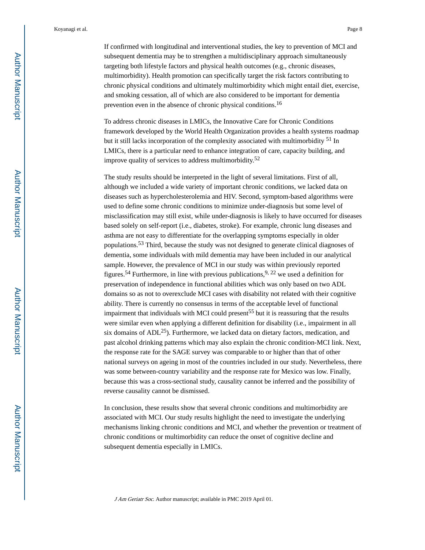If confirmed with longitudinal and interventional studies, the key to prevention of MCI and subsequent dementia may be to strengthen a multidisciplinary approach simultaneously targeting both lifestyle factors and physical health outcomes (e.g., chronic diseases, multimorbidity). Health promotion can specifically target the risk factors contributing to chronic physical conditions and ultimately multimorbidity which might entail diet, exercise, and smoking cessation, all of which are also considered to be important for dementia prevention even in the absence of chronic physical conditions.<sup>16</sup>

To address chronic diseases in LMICs, the Innovative Care for Chronic Conditions framework developed by the World Health Organization provides a health systems roadmap but it still lacks incorporation of the complexity associated with multimorbidity <sup>51</sup> In LMICs, there is a particular need to enhance integration of care, capacity building, and improve quality of services to address multimorbidity.<sup>52</sup>

The study results should be interpreted in the light of several limitations. First of all, although we included a wide variety of important chronic conditions, we lacked data on diseases such as hypercholesterolemia and HIV. Second, symptom-based algorithms were used to define some chronic conditions to minimize under-diagnosis but some level of misclassification may still exist, while under-diagnosis is likely to have occurred for diseases based solely on self-report (i.e., diabetes, stroke). For example, chronic lung diseases and asthma are not easy to differentiate for the overlapping symptoms especially in older populations.53 Third, because the study was not designed to generate clinical diagnoses of dementia, some individuals with mild dementia may have been included in our analytical sample. However, the prevalence of MCI in our study was within previously reported figures.<sup>54</sup> Furthermore, in line with previous publications,  $9, 22$  we used a definition for preservation of independence in functional abilities which was only based on two ADL domains so as not to overexclude MCI cases with disability not related with their cognitive ability. There is currently no consensus in terms of the acceptable level of functional impairment that individuals with MCI could present<sup>55</sup> but it is reassuring that the results were similar even when applying a different definition for disability (i.e., impairment in all six domains of  $ADL<sup>25</sup>$ ). Furthermore, we lacked data on dietary factors, medication, and past alcohol drinking patterns which may also explain the chronic condition-MCI link. Next, the response rate for the SAGE survey was comparable to or higher than that of other national surveys on ageing in most of the countries included in our study. Nevertheless, there was some between-country variability and the response rate for Mexico was low. Finally, because this was a cross-sectional study, causality cannot be inferred and the possibility of reverse causality cannot be dismissed.

In conclusion, these results show that several chronic conditions and multimorbidity are associated with MCI. Our study results highlight the need to investigate the underlying mechanisms linking chronic conditions and MCI, and whether the prevention or treatment of chronic conditions or multimorbidity can reduce the onset of cognitive decline and subsequent dementia especially in LMICs.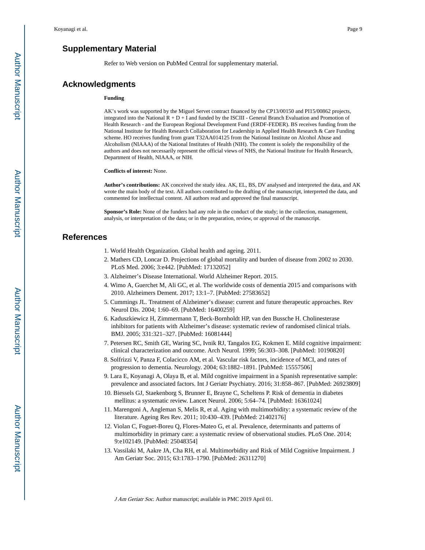## **Supplementary Material**

Refer to Web version on PubMed Central for supplementary material.

#### **Acknowledgments**

#### **Funding**

AK's work was supported by the Miguel Servet contract financed by the CP13/00150 and PI15/00862 projects, integrated into the National R + D + I and funded by the ISCIII - General Branch Evaluation and Promotion of Health Research - and the European Regional Development Fund (ERDF-FEDER). BS receives funding from the National Institute for Health Research Collaboration for Leadership in Applied Health Research & Care Funding scheme. HO receives funding from grant T32AA014125 from the National Institute on Alcohol Abuse and Alcoholism (NIAAA) of the National Institutes of Health (NIH). The content is solely the responsibility of the authors and does not necessarily represent the official views of NHS, the National Institute for Health Research, Department of Health, NIAAA, or NIH.

**Conflicts of interest:** None.

**Author's contributions:** AK conceived the study idea. AK, EL, BS, DV analysed and interpreted the data, and AK wrote the main body of the text. All authors contributed to the drafting of the manuscript, interpreted the data, and commented for intellectual content. All authors read and approved the final manuscript.

**Sponsor's Role:** None of the funders had any role in the conduct of the study; in the collection, management, analysis, or interpretation of the data; or in the preparation, review, or approval of the manuscript.

## **References**

- 1. World Health Organization. Global health and ageing. 2011.
- 2. Mathers CD, Loncar D. Projections of global mortality and burden of disease from 2002 to 2030. PLoS Med. 2006; 3:e442. [PubMed: 17132052]
- 3. Alzheimer's Disease International. World Alzheimer Report. 2015.
- 4. Wimo A, Guerchet M, Ali GC, et al. The worldwide costs of dementia 2015 and comparisons with 2010. Alzheimers Dement. 2017; 13:1–7. [PubMed: 27583652]
- 5. Cummings JL. Treatment of Alzheimer's disease: current and future therapeutic approaches. Rev Neurol Dis. 2004; 1:60–69. [PubMed: 16400259]
- 6. Kaduszkiewicz H, Zimmermann T, Beck-Bornholdt HP, van den Bussche H. Cholinesterase inhibitors for patients with Alzheimer's disease: systematic review of randomised clinical trials. BMJ. 2005; 331:321–327. [PubMed: 16081444]
- 7. Petersen RC, Smith GE, Waring SC, Ivnik RJ, Tangalos EG, Kokmen E. Mild cognitive impairment: clinical characterization and outcome. Arch Neurol. 1999; 56:303–308. [PubMed: 10190820]
- 8. Solfrizzi V, Panza F, Colacicco AM, et al. Vascular risk factors, incidence of MCI, and rates of progression to dementia. Neurology. 2004; 63:1882–1891. [PubMed: 15557506]
- 9. Lara E, Koyanagi A, Olaya B, et al. Mild cognitive impairment in a Spanish representative sample: prevalence and associated factors. Int J Geriatr Psychiatry. 2016; 31:858–867. [PubMed: 26923809]
- 10. Biessels GJ, Staekenborg S, Brunner E, Brayne C, Scheltens P. Risk of dementia in diabetes mellitus: a systematic review. Lancet Neurol. 2006; 5:64–74. [PubMed: 16361024]
- 11. Marengoni A, Angleman S, Melis R, et al. Aging with multimorbidity: a systematic review of the literature. Ageing Res Rev. 2011; 10:430–439. [PubMed: 21402176]
- 12. Violan C, Foguet-Boreu Q, Flores-Mateo G, et al. Prevalence, determinants and patterns of multimorbidity in primary care: a systematic review of observational studies. PLoS One. 2014; 9:e102149. [PubMed: 25048354]
- 13. Vassilaki M, Aakre JA, Cha RH, et al. Multimorbidity and Risk of Mild Cognitive Impairment. J Am Geriatr Soc. 2015; 63:1783–1790. [PubMed: 26311270]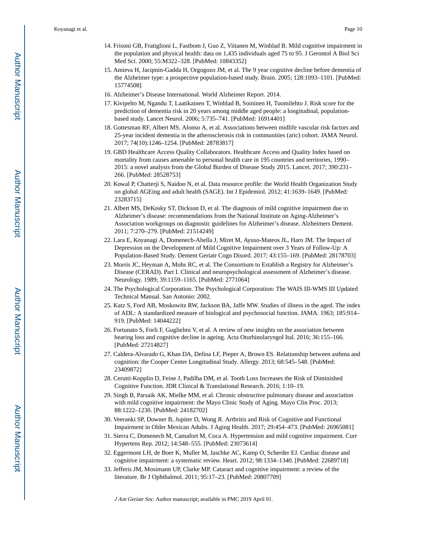- 14. Frisoni GB, Fratiglioni L, Fastbom J, Guo Z, Viitanen M, Winblad B. Mild cognitive impairment in the population and physical health: data on 1,435 individuals aged 75 to 95. J Gerontol A Biol Sci Med Sci. 2000; 55:M322–328. [PubMed: 10843352]
- 15. Amieva H, Jacqmin-Gadda H, Orgogozo JM, et al. The 9 year cognitive decline before dementia of the Alzheimer type: a prospective population-based study. Brain. 2005; 128:1093–1101. [PubMed: 15774508]
- 16. Alzheimer's Disease International. World Alzheimer Report. 2014.
- 17. Kivipelto M, Ngandu T, Laatikainen T, Winblad B, Soininen H, Tuomilehto J. Risk score for the prediction of dementia risk in 20 years among middle aged people: a longitudinal, populationbased study. Lancet Neurol. 2006; 5:735–741. [PubMed: 16914401]
- 18. Gottesman RF, Albert MS, Alonso A, et al. Associations between midlife vascular risk factors and 25-year incident dementia in the atherosclerosis risk in communities (aric) cohort. JAMA Neurol. 2017; 74(10):1246–1254. [PubMed: 28783817]
- 19. GBD Healthcare Access Quality Collaborators. Healthcare Access and Quality Index based on mortality from causes amenable to personal health care in 195 countries and territories, 1990– 2015: a novel analysis from the Global Burden of Disease Study 2015. Lancet. 2017; 390:231– 266. [PubMed: 28528753]
- 20. Kowal P, Chatterji S, Naidoo N, et al. Data resource profile: the World Health Organization Study on global AGEing and adult health (SAGE). Int J Epidemiol. 2012; 41:1639–1649. [PubMed: 23283715]
- 21. Albert MS, DeKosky ST, Dickson D, et al. The diagnosis of mild cognitive impairment due to Alzheimer's disease: recommendations from the National Institute on Aging-Alzheimer's Association workgroups on diagnostic guidelines for Alzheimer's disease. Alzheimers Dement. 2011; 7:270–279. [PubMed: 21514249]
- 22. Lara E, Koyanagi A, Domenech-Abella J, Miret M, Ayuso-Mateos JL, Haro JM. The Impact of Depression on the Development of Mild Cognitive Impairment over 3 Years of Follow-Up: A Population-Based Study. Dement Geriatr Cogn Disord. 2017; 43:155–169. [PubMed: 28178703]
- 23. Morris JC, Heyman A, Mohs RC, et al. The Consortium to Establish a Registry for Alzheimer's Disease (CERAD). Part I. Clinical and neuropsychological assessment of Alzheimer's disease. Neurology. 1989; 39:1159–1165. [PubMed: 2771064]
- 24. The Psychological Corporation. The Psychological Corporation: The WAIS III-WMS III Updated Technical Manual. San Antonio: 2002.
- 25. Katz S, Ford AB, Moskowitz RW, Jackson BA, Jaffe MW. Studies of illness in the aged. The index of ADL: A standardized measure of biological and psychosocial function. JAMA. 1963; 185:914– 919. [PubMed: 14044222]
- 26. Fortunato S, Forli F, Guglielmi V, et al. A review of new insights on the association between hearing loss and cognitive decline in ageing. Acta Otorhinolaryngol Ital. 2016; 36:155–166. [PubMed: 27214827]
- 27. Caldera-Alvarado G, Khan DA, Defina LF, Pieper A, Brown ES. Relationship between asthma and cognition: the Cooper Center Longitudinal Study. Allergy. 2013; 68:545–548. [PubMed: 23409872]
- 28. Cerutti-Kopplin D, Feine J, Padilha DM, et al. Tooth Loss Increases the Risk of Diminished Cognitive Function. JDR Clinical & Translational Research. 2016; 1:10–19.
- 29. Singh B, Parsaik AK, Mielke MM, et al. Chronic obstructive pulmonary disease and association with mild cognitive impairment: the Mayo Clinic Study of Aging. Mayo Clin Proc. 2013; 88:1222–1230. [PubMed: 24182702]
- 30. Veeranki SP, Downer B, Jupiter D, Wong R. Arthritis and Risk of Cognitive and Functional Impairment in Older Mexican Adults. J Aging Health. 2017; 29:454–473. [PubMed: 26965081]
- 31. Sierra C, Domenech M, Camafort M, Coca A. Hypertension and mild cognitive impairment. Curr Hypertens Rep. 2012; 14:548–555. [PubMed: 23073614]
- 32. Eggermont LH, de Boer K, Muller M, Jaschke AC, Kamp O, Scherder EJ. Cardiac disease and cognitive impairment: a systematic review. Heart. 2012; 98:1334–1340. [PubMed: 22689718]
- 33. Jefferis JM, Mosimann UP, Clarke MP. Cataract and cognitive impairment: a review of the literature. Br J Ophthalmol. 2011; 95:17–23. [PubMed: 20807709]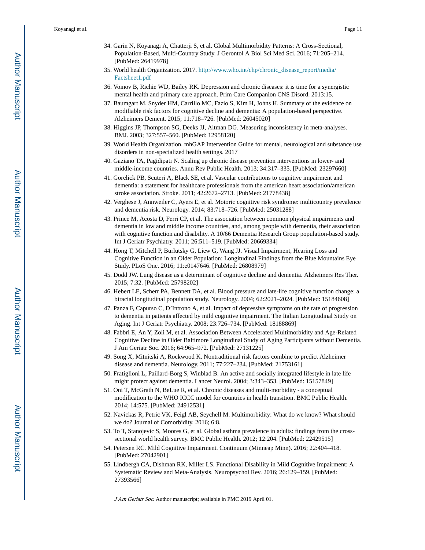Koyanagi et al. Page 11

- 34. Garin N, Koyanagi A, Chatterji S, et al. Global Multimorbidity Patterns: A Cross-Sectional, Population-Based, Multi-Country Study. J Gerontol A Biol Sci Med Sci. 2016; 71:205–214. [PubMed: 26419978]
- 35. World health Organization. 2017. [http://www.who.int/chp/chronic\\_disease\\_report/media/](http://www.who.int/chp/chronic_disease_report/media/Factsheet1.pdf) [Factsheet1.pdf](http://www.who.int/chp/chronic_disease_report/media/Factsheet1.pdf)
- 36. Voinov B, Richie WD, Bailey RK. Depression and chronic diseases: it is time for a synergistic mental health and primary care approach. Prim Care Companion CNS Disord. 2013:15.
- 37. Baumgart M, Snyder HM, Carrillo MC, Fazio S, Kim H, Johns H. Summary of the evidence on modifiable risk factors for cognitive decline and dementia: A population-based perspective. Alzheimers Dement. 2015; 11:718–726. [PubMed: 26045020]
- 38. Higgins JP, Thompson SG, Deeks JJ, Altman DG. Measuring inconsistency in meta-analyses. BMJ. 2003; 327:557–560. [PubMed: 12958120]
- 39. World Health Organization. mhGAP Intervention Guide for mental, neurological and substance use disorders in non-specialized health settings. 2017
- 40. Gaziano TA, Pagidipati N. Scaling up chronic disease prevention interventions in lower- and middle-income countries. Annu Rev Public Health. 2013; 34:317–335. [PubMed: 23297660]
- 41. Gorelick PB, Scuteri A, Black SE, et al. Vascular contributions to cognitive impairment and dementia: a statement for healthcare professionals from the american heart association/american stroke association. Stroke. 2011; 42:2672–2713. [PubMed: 21778438]
- 42. Verghese J, Annweiler C, Ayers E, et al. Motoric cognitive risk syndrome: multicountry prevalence and dementia risk. Neurology. 2014; 83:718–726. [PubMed: 25031288]
- 43. Prince M, Acosta D, Ferri CP, et al. The association between common physical impairments and dementia in low and middle income countries, and, among people with dementia, their association with cognitive function and disability. A 10/66 Dementia Research Group population-based study. Int J Geriatr Psychiatry. 2011; 26:511–519. [PubMed: 20669334]
- 44. Hong T, Mitchell P, Burlutsky G, Liew G, Wang JJ. Visual Impairment, Hearing Loss and Cognitive Function in an Older Population: Longitudinal Findings from the Blue Mountains Eye Study. PLoS One. 2016; 11:e0147646. [PubMed: 26808979]
- 45. Dodd JW. Lung disease as a determinant of cognitive decline and dementia. Alzheimers Res Ther. 2015; 7:32. [PubMed: 25798202]
- 46. Hebert LE, Scherr PA, Bennett DA, et al. Blood pressure and late-life cognitive function change: a biracial longitudinal population study. Neurology. 2004; 62:2021–2024. [PubMed: 15184608]
- 47. Panza F, Capurso C, D'Introno A, et al. Impact of depressive symptoms on the rate of progression to dementia in patients affected by mild cognitive impairment. The Italian Longitudinal Study on Aging. Int J Geriatr Psychiatry. 2008; 23:726–734. [PubMed: 18188869]
- 48. Fabbri E, An Y, Zoli M, et al. Association Between Accelerated Multimorbidity and Age-Related Cognitive Decline in Older Baltimore Longitudinal Study of Aging Participants without Dementia. J Am Geriatr Soc. 2016; 64:965–972. [PubMed: 27131225]
- 49. Song X, Mitnitski A, Rockwood K. Nontraditional risk factors combine to predict Alzheimer disease and dementia. Neurology. 2011; 77:227–234. [PubMed: 21753161]
- 50. Fratiglioni L, Paillard-Borg S, Winblad B. An active and socially integrated lifestyle in late life might protect against dementia. Lancet Neurol. 2004; 3:343–353. [PubMed: 15157849]
- 51. Oni T, McGrath N, BeLue R, et al. Chronic diseases and multi-morbidity a conceptual modification to the WHO ICCC model for countries in health transition. BMC Public Health. 2014; 14:575. [PubMed: 24912531]
- 52. Navickas R, Petric VK, Feigl AB, Seychell M. Multimorbidity: What do we know? What should we do? Journal of Comorbidity. 2016; 6:8.
- 53. To T, Stanojevic S, Moores G, et al. Global asthma prevalence in adults: findings from the crosssectional world health survey. BMC Public Health. 2012; 12:204. [PubMed: 22429515]
- 54. Petersen RC. Mild Cognitive Impairment. Continuum (Minneap Minn). 2016; 22:404–418. [PubMed: 27042901]
- 55. Lindbergh CA, Dishman RK, Miller LS. Functional Disability in Mild Cognitive Impairment: A Systematic Review and Meta-Analysis. Neuropsychol Rev. 2016; 26:129–159. [PubMed: 27393566]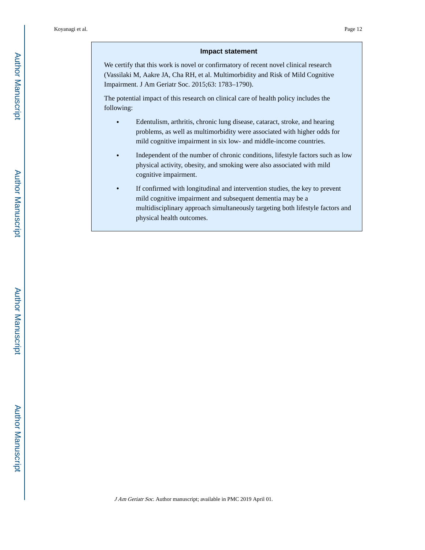#### **Impact statement**

We certify that this work is novel or confirmatory of recent novel clinical research (Vassilaki M, Aakre JA, Cha RH, et al. Multimorbidity and Risk of Mild Cognitive Impairment. J Am Geriatr Soc. 2015;63: 1783–1790).

The potential impact of this research on clinical care of health policy includes the following:

- **•** Edentulism, arthritis, chronic lung disease, cataract, stroke, and hearing problems, as well as multimorbidity were associated with higher odds for mild cognitive impairment in six low- and middle-income countries.
- Independent of the number of chronic conditions, lifestyle factors such as low physical activity, obesity, and smoking were also associated with mild cognitive impairment.
- **•** If confirmed with longitudinal and intervention studies, the key to prevent mild cognitive impairment and subsequent dementia may be a multidisciplinary approach simultaneously targeting both lifestyle factors and physical health outcomes.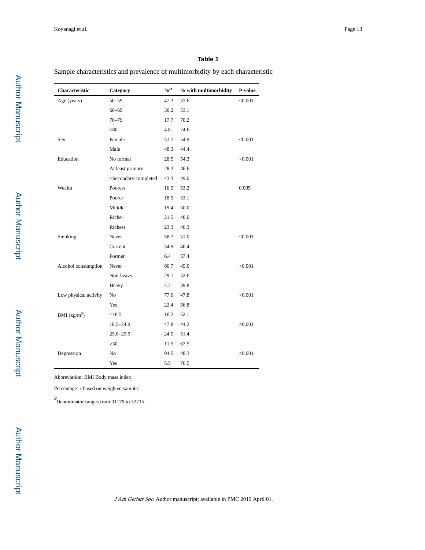#### **Table 1**

Sample characteristics and prevalence of multimorbidity by each characteristic

| Characteristic           | Category            | $\mathbf{0}_{\alpha}a$ | % with multimorbidity | P-value |
|--------------------------|---------------------|------------------------|-----------------------|---------|
| Age (years)              | $50 - 59$           | 47.3                   | 37.6                  | < 0.001 |
|                          | $60 - 69$           | 30.2                   | 53.1                  |         |
|                          | $70 - 79$           | 17.7                   | 70.2                  |         |
|                          | 80                  | 4.8                    | 74.6                  |         |
| Sex                      | Female              | 51.7                   | 54.9                  | < 0.001 |
|                          | Male                | 48.3                   | 44.4                  |         |
| Education                | No formal           | 28.5                   | 54.3                  | < 0.001 |
|                          | At least primary    | 28.2                   | 46.6                  |         |
|                          | Secondary completed | 43.3                   | 49.0                  |         |
| Wealth                   | Poorest             | 16.9                   | 53.2                  | 0.005   |
|                          | Poorer              | 18.9                   | 53.1                  |         |
|                          | Middle              | 19.4                   | 50.0                  |         |
|                          | Richer              | 21.5                   | 48.0                  |         |
|                          | Richest             | 23.3                   | 46.3                  |         |
| Smoking                  | Never               | 58.7                   | 51.0                  | < 0.001 |
|                          | Current             | 34.9                   | 46.4                  |         |
|                          | Former              | 6.4                    | 57.4                  |         |
| Alcohol consumption      | Never               | 66.7                   | 49.0                  | < 0.001 |
|                          | Non-heavy           | 29.1                   | 52.6                  |         |
|                          | Heavy               | 4.2                    | 39.8                  |         |
| Low physical activity    | N <sub>o</sub>      | 77.6                   | 47.8                  | < 0.001 |
|                          | Yes                 | 22.4                   | 56.8                  |         |
| BMI (kg/m <sup>2</sup> ) | < 18.5              | 16.2                   | 52.1                  |         |
|                          | $18.5 - 24.9$       | 47.8                   | 44.2                  | < 0.001 |
|                          | $25.0 - 29.9$       | 24.5                   | 51.4                  |         |
|                          | 30                  | 11.5                   | 67.5                  |         |
| Depression               | No                  | 94.5                   | 48.3                  | < 0.001 |
|                          | Yes                 | 5.5                    | 76.5                  |         |

Abbreviation: BMI Body mass index

Percentage is based on weighted sample.

<sup>a</sup> Denominator ranges from 31179 to 32715.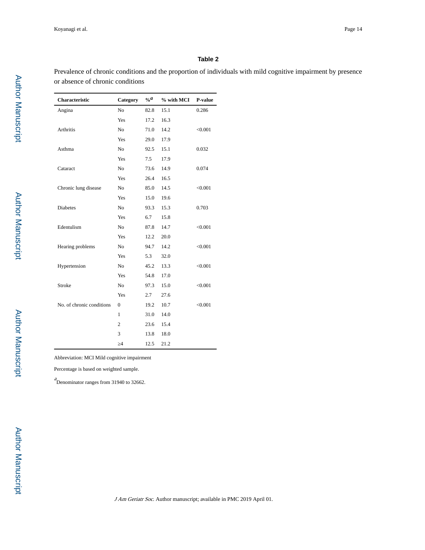#### **Table 2**

Prevalence of chronic conditions and the proportion of individuals with mild cognitive impairment by presence or absence of chronic conditions

| Characteristic            | Category       | $\alpha$ <sup>a</sup> | % with MCI | P-value |
|---------------------------|----------------|-----------------------|------------|---------|
| Angina                    | No             | 82.8                  | 15.1       | 0.286   |
|                           | Yes            | 17.2                  | 16.3       |         |
| <b>Arthritis</b>          | N <sub>o</sub> | 71.0                  | 14.2       | < 0.001 |
|                           | Yes            | 29.0                  | 17.9       |         |
| Asthma                    | N <sub>o</sub> | 92.5                  | 15.1       | 0.032   |
|                           | Yes            | 7.5                   | 17.9       |         |
| Cataract                  | N <sub>o</sub> | 73.6                  | 14.9       | 0.074   |
|                           | Yes            | 26.4                  | 16.5       |         |
| Chronic lung disease      | No             | 85.0                  | 14.5       | < 0.001 |
|                           | Yes            | 15.0                  | 19.6       |         |
| <b>Diabetes</b>           | N <sub>o</sub> | 93.3                  | 15.3       | 0.703   |
|                           | Yes            | 6.7                   | 15.8       |         |
| Edentulism                | No             | 87.8                  | 14.7       | < 0.001 |
|                           | Yes            | 12.2                  | 20.0       |         |
| Hearing problems          | No             | 94.7                  | 14.2       | < 0.001 |
|                           | Yes            | 5.3                   | 32.0       |         |
| Hypertension              | N <sub>o</sub> | 45.2                  | 13.3       | < 0.001 |
|                           | Yes            | 54.8                  | 17.0       |         |
| Stroke                    | N <sub>o</sub> | 97.3                  | 15.0       | < 0.001 |
|                           | Yes            | 2.7                   | 27.6       |         |
| No. of chronic conditions | $\mathbf{0}$   | 19.2                  | 10.7       | < 0.001 |
|                           | 1              | 31.0                  | 14.0       |         |
|                           | $\overline{2}$ | 23.6                  | 15.4       |         |
|                           | 3              | 13.8                  | 18.0       |         |
|                           | 4              | 12.5                  | 21.2       |         |

Abbreviation: MCI Mild cognitive impairment

Percentage is based on weighted sample.

 $a$ <br>Denominator ranges from 31940 to 32662.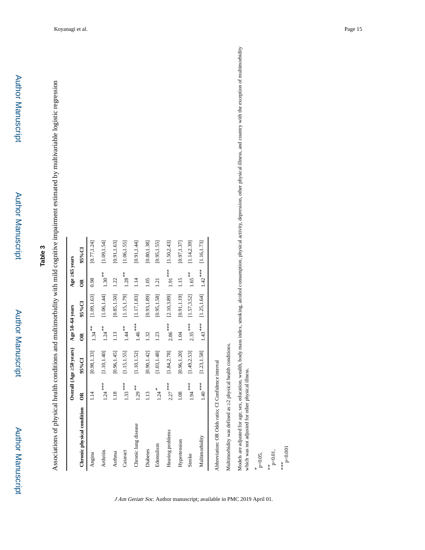Author Manuscript

**Author Manuscript** 

Associations of physical health conditions and multimorbidity with mild cognitive impairment estimated by multivariable logistic regression Associations of physical health conditions and multimorbidity with mild cognitive impairment estimated by multivariable logistic regression

|                            |                     | Overall (Age 50 years) | Age 50-64 years      |              | Age 65 years     |              |
|----------------------------|---------------------|------------------------|----------------------|--------------|------------------|--------------|
| Chronic physical condition | ã                   | $95\%$ CI              | ã                    | 95%CI        | $\approx$        | 95%CI        |
| Angina                     | 114                 | [0.98, 1.33]           | $1.34***$            | [1.09, 1.63] | 0.98             | [0.77, 1.24] |
| Arthritis                  | $1.24***$           | [1.10, 1.40]           | $1.24***$            | [1.06, 1.44] | $1.30\sp{^{**}}$ | [1.09, 1.54] |
| Asthma                     | 1.18                | [0.96, 1.45]           | 113                  | [0.85, 1.50] | 1.22             | [0.91, 1.63] |
| Cataract                   | $1.33***$           | [1.15, 1.55]           | $1.44$ <sup>**</sup> | [1.15, 1.79] | $1.28***$        | [1.06, 1.55] |
| Chronic lung disease       | $1.29***$           | [1.10, 1.52]           | $1.46***$            | [1.17, 1.83] | 1.14             | [0.91, 1.44] |
| Diabetes                   | 113                 | [0.90, 1.42]           | 1.32                 | [0.93, 1.89] | 1.05             | [0.80, 1.38] |
| Edentulism                 | $1.24$ <sup>*</sup> | [1.03, 1.48]           | 1.23                 | [0.95, 1.58] | 1.21             | [0.95, 1.55] |
| Hearing problems           | $2.27***$           | [1.84, 2.78]           | $2.86***$            | [2.10, 3.89] | $1.91***$        | [1.50, 2.43] |
| Hypertension               | 1.08                | [0.96, 1.20]           | 1.04                 | [0.91, 1.19] | 115              | [0.97, 1.37] |
| Stroke                     | $1.94***$           | [1.49, 2.53]           | $2.35***$            | [1.57, 3.52] | $1.65***$        | [1.14, 2.39] |
| Multimorbidity             | $1.40\,***$         | [1.23, 1.58]           | $1.43***$            | [1.25, 1.64] | $1.42***$        | [1.16, 1.73] |

J Am Geriatr Soc. Author manuscript; available in PMC 2019 April 01.

Multimorbidity was defined as 2 physical health conditions. Multimorbidity was defined as ≥2 physical health conditions.

Models are adjusted for age, sex, education, wealth, body mass index, smoking, alcohol consumption, physical activity, depression, other physical illness, and country with the exception of multimorbidity<br>which was not adju Models are adjusted for age, sex, education, wealth, body mass index, smoking, alcohol consumption, physical activity, depression, other physical illness, and country with the exception of multimorbidity which was not adjusted for other physical illness.

\* p<0.05,

 $*$  p<0.01,

\*\*\* p<0.001